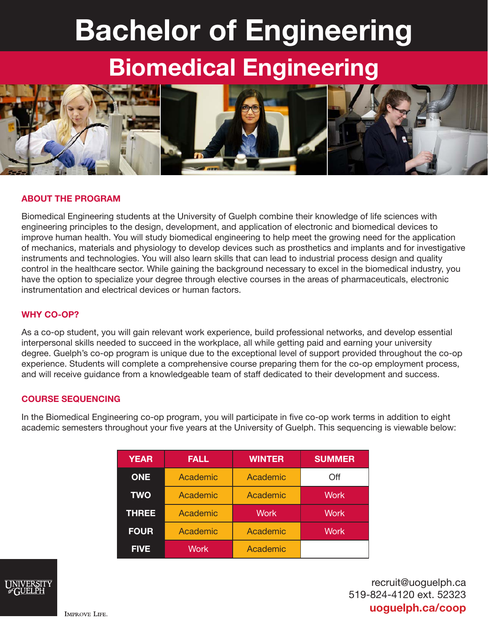# Bachelor of Engineering

## Biomedical Engineering



#### ABOUT THE PROGRAM

Biomedical Engineering students at the University of Guelph combine their knowledge of life sciences with engineering principles to the design, development, and application of electronic and biomedical devices to improve human health. You will study biomedical engineering to help meet the growing need for the application of mechanics, materials and physiology to develop devices such as prosthetics and implants and for investigative instruments and technologies. You will also learn skills that can lead to industrial process design and quality control in the healthcare sector. While gaining the background necessary to excel in the biomedical industry, you have the option to specialize your degree through elective courses in the areas of pharmaceuticals, electronic instrumentation and electrical devices or human factors.

#### WHY CO-OP?

As a co-op student, you will gain relevant work experience, build professional networks, and develop essential interpersonal skills needed to succeed in the workplace, all while getting paid and earning your university degree. Guelph's co-op program is unique due to the exceptional level of support provided throughout the co-op experience. Students will complete a comprehensive course preparing them for the co-op employment process, and will receive guidance from a knowledgeable team of staff dedicated to their development and success.

#### COURSE SEQUENCING

In the Biomedical Engineering co-op program, you will participate in five co-op work terms in addition to eight academic semesters throughout your five years at the University of Guelph. This sequencing is viewable below:

| <b>YEAR</b>  | <b>FALL</b> | <b>WINTER</b> | <b>SUMMER</b> |
|--------------|-------------|---------------|---------------|
| <b>ONE</b>   | Academic    | Academic      | Off           |
| <b>TWO</b>   | Academic    | Academic      | <b>Work</b>   |
| <b>THREE</b> | Academic    | <b>Work</b>   | Work          |
| <b>FOUR</b>  | Academic    | Academic      | <b>Work</b>   |
| <b>FIVE</b>  | <b>Work</b> | Academic      |               |



recruit@uoguelph.ca 519-824-4120 ext. 52323 uoguelph.ca/coop